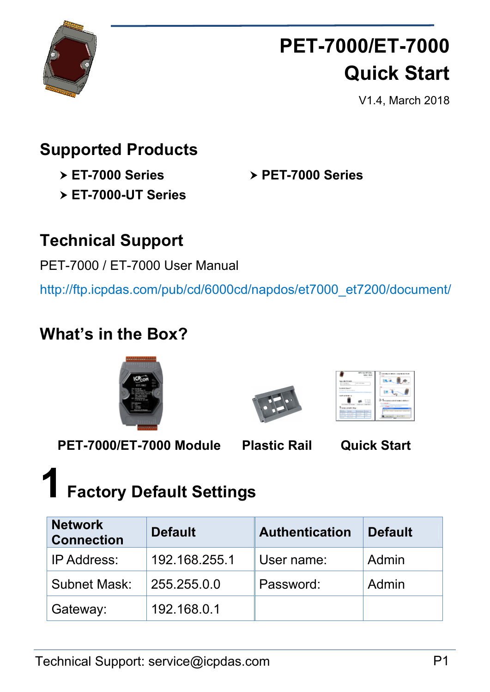

## **PET-7000/ET-7000 Quick Start**

V1.4, March 2018

### **Supported Products**

**ET-7000 Series** 

**PET-7000 Series** 

**ET-7000-UT Series**

### **Technical Support**

PET-7000 / ET-7000 User Manual

http://ftp.icpdas.com/pub/cd/6000cd/napdos/et7000\_et7200/document/

### **What's in the Box?**





| <b>EXAMPLE</b>                                                                                  | 11.62                                |
|-------------------------------------------------------------------------------------------------|--------------------------------------|
| At Links<br><b>CONTRACTOR</b><br>Later and down<br><b>COLORADO</b>                              |                                      |
| <b>Little Sear</b><br>allow with their providence.                                              |                                      |
| akan ing masa                                                                                   | Accounting a stack                   |
| with the faces . There for "these with"<br><b>SSA</b><br><b>Several Bones</b><br><b>Service</b> | <b>State Corp. State State</b><br>-- |
| <b>STATISTICS</b><br>-<br><b>Contract</b><br>-<br>$\sim$<br>$\overline{a}$<br>_                 | <b>SALES</b>                         |

**PET-7000/ET-7000 Module Plastic Rail Quick Start** 

## **1 Factory Default Settings**

| <b>Network</b><br><b>Connection</b> | <b>Default</b> | <b>Authentication</b> | <b>Default</b> |
|-------------------------------------|----------------|-----------------------|----------------|
| <b>IP Address:</b>                  | 192.168.255.1  | User name:            | Admin          |
| <b>Subnet Mask:</b>                 | 255.255.0.0    | Password:             | Admin          |
| Gateway:                            | 192.168.0.1    |                       |                |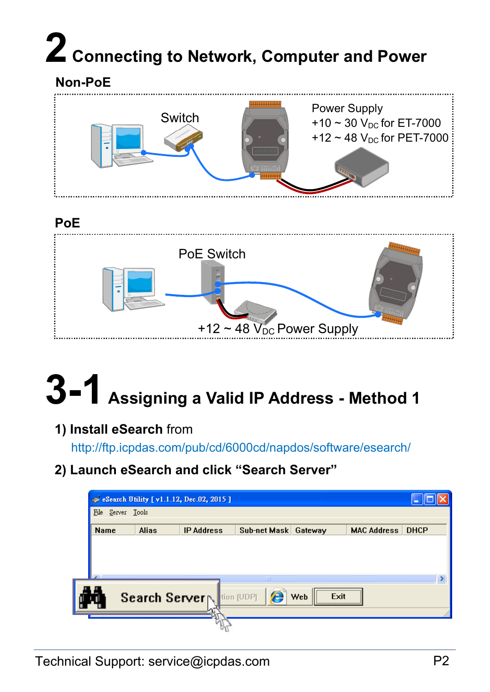# **2 Connecting to Network, Computer and Power**





#### **PoE**



# **3-1 Assigning a Valid IP Address - Method 1**

#### **1) Install eSearch** from

http://ftp.icpdas.com/pub/cd/6000cd/napdos/software/esearch/

**2) Launch eSearch and click "Search Server"** 

|                |                   | Essearch Utility [v1.1.12, Dec.02, 2015] |                      |                        |                    |             |
|----------------|-------------------|------------------------------------------|----------------------|------------------------|--------------------|-------------|
|                | File Server Tools |                                          |                      |                        |                    |             |
| Name           | <b>Alias</b>      | <b>IP Address</b>                        | Sub-net Mask Gateway |                        | <b>MAC Address</b> | <b>DHCP</b> |
|                |                   |                                          |                      |                        |                    |             |
|                |                   |                                          |                      |                        |                    |             |
| $\overline{ }$ |                   |                                          | ШI                   |                        |                    |             |
| ۰, ۱۳          |                   | Search Server                            | e<br>tion (UDP)      | <br><b>Web</b><br>Exit |                    |             |
|                |                   |                                          |                      |                        |                    |             |
|                |                   |                                          |                      |                        |                    |             |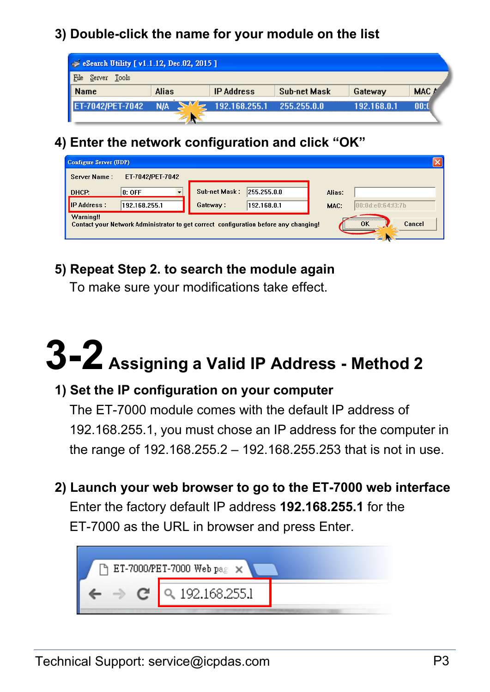#### **3) Double-click the name for your module on the list**

| Search Utility [ v1.1.12, Dec.02, 2015 ] |                      |                           |              |             |       |
|------------------------------------------|----------------------|---------------------------|--------------|-------------|-------|
| File<br>Server Tools                     |                      |                           |              |             |       |
| <b>Name</b>                              | Alias                | <b>IP Address</b>         | Sub-net Mask | Gateway     | MAC A |
| ET-7042/PET-7042                         | $\sim$<br><b>N/A</b> | 192.168.255.1 255.255.0.0 |              | 192.168.0.1 | 00:0  |
|                                          |                      |                           |              |             |       |

#### **4) Enter the network configuration and click "OK"**

| Configure Server (UDP)                                                                                            |                              |                             |  |  |  |  |
|-------------------------------------------------------------------------------------------------------------------|------------------------------|-----------------------------|--|--|--|--|
| Server Name:<br>ET-7042/PET-7042                                                                                  |                              |                             |  |  |  |  |
| $ 0:$ OFF<br>DHCP:                                                                                                | Sub-net Mask:<br>255.255.0.0 | Alias:                      |  |  |  |  |
| <b>IP Address :</b><br>192.168.255.1                                                                              | 192.168.0.1<br>Gateway:      | [00:0d:e0:64:13:7b]<br>MAC: |  |  |  |  |
| Warning!!<br>Cancel<br>0K<br>Contact your Network Administrator to get correct configuration before any changing! |                              |                             |  |  |  |  |

#### **5) Repeat Step 2. to search the module again**

To make sure your modifications take effect.

# **3-2 Assigning a Valid IP Address - Method 2**

#### **1) Set the IP configuration on your computer**

The ET-7000 module comes with the default IP address of 192.168.255.1, you must chose an IP address for the computer in the range of 192.168.255.2 – 192.168.255.253 that is not in use.

**2) Launch your web browser to go to the ET-7000 web interface**  Enter the factory default IP address **192.168.255.1** for the

ET-7000 as the URL in browser and press Enter.